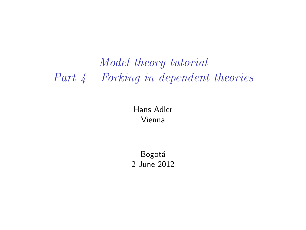## *Model theory tutorial Part 4 – Forking in dependent theories*

#### Hans Adler Vienna

**Bogotá** 2 June 2012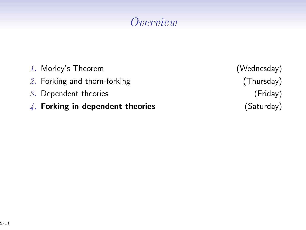# *Overview*

| $\frac{1}{4}$ . Forking in dependent theories |
|-----------------------------------------------|
| $3.$ Dependent theories                       |
| 2. Forking and thorn-forking                  |
| 1. Morley's Theorem                           |

(Wednesday)  $(Thursday)$  $(Friday)$  $(Saturday)$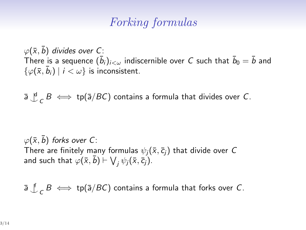#### *Forking formulas*

 $\varphi$ ( $\bar{x}$ ,  $\bar{b}$ ) *divides over C*: There is a sequence  $(\bar{b}_i)_{i<\omega}$  indiscernible over  $C$  such that  $\bar{b}_0=\bar{b}$  and  $\{\varphi(\bar{x}, \bar{b}_i) \mid i < \omega\}$  is inconsistent.

¯*a ^|* d  $\sigma$  *B*  $\iff$  tp( $\bar{a}/BC$ ) contains a formula that divides over *C*.

 $\varphi(\bar{x}, \bar{b})$  *forks over C*: There are finitely many formulas  $\psi_i(\bar{x}, \bar{c}_i)$  that divide over C and such that  $\varphi(\bar{x}, \bar{b}) \vdash \bigvee_j \psi_j(\bar{x}, \bar{c}_j).$ 

¯*a ^|* f  $\mathcal{L}_C$  *B*  $\iff$  tp( $\bar{a}/BC$ ) contains a formula that forks over *C*.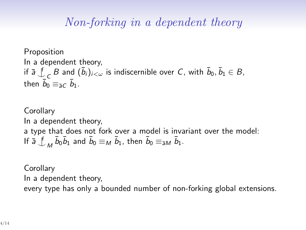#### *Non-forking in a dependent theory*

Proposition In a dependent theory, if ¯*a ^|* f  $\overline{C}$  *B* and  $(\overline{b}_i)_{i<\omega}$  is indiscernible over *C*, with  $\overline{b}_0, \overline{b}_1 \in B$ , then  $\overline{b}_0 \equiv_{\bar{a}C} \overline{b}_1$ .

**Corollary** In a dependent theory, a type that does not fork over a model is invariant over the model: If ¯*a ^|* f  $\bar{b}_0 \bar{b}_1$  and  $\bar{b}_0 \equiv_M \bar{b}_1$ , then  $\bar{b}_0 \equiv_{\bar{a}M} \bar{b}_1$ .

**Corollary** In a dependent theory, every type has only a bounded number of non-forking global extensions.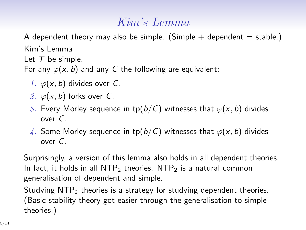### *Kim's Lemma*

A dependent theory may also be simple. (Simple  $+$  dependent  $=$  stable.) Kim's Lemma Let *T* be simple. For any  $\varphi(x, b)$  and any C the following are equivalent:

- *1.*  $\varphi(x, b)$  divides over *C*.
- *2.*  $\varphi(x, b)$  forks over *C*.
- *3.* Every Morley sequence in tp( $b/C$ ) witnesses that  $\varphi(x, b)$  divides over *C*.
- 4. Some Morley sequence in tp( $b/C$ ) witnesses that  $\varphi(x, b)$  divides over *C*.

Surprisingly, a version of this lemma also holds in all dependent theories. In fact, it holds in all  $NTP_2$  theories.  $NTP_2$  is a natural common generalisation of dependent and simple.

Studying  $NTP<sub>2</sub>$  theories is a strategy for studying dependent theories. (Basic stability theory got easier through the generalisation to simple theories.)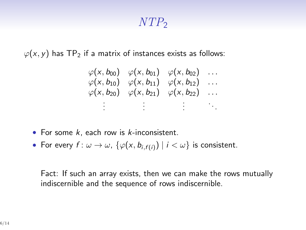#### *NTP*<sup>2</sup>

 $\varphi(x, y)$  has TP<sub>2</sub> if a matrix of instances exists as follows:

$$
\varphi(x, b_{00}) \varphi(x, b_{01}) \varphi(x, b_{02}) \dots
$$
  
\n
$$
\varphi(x, b_{10}) \varphi(x, b_{11}) \varphi(x, b_{12}) \dots
$$
  
\n
$$
\varphi(x, b_{20}) \varphi(x, b_{21}) \varphi(x, b_{22}) \dots
$$
  
\n
$$
\vdots \qquad \vdots \qquad \vdots
$$

- *•* For some *k*, each row is *k*-inconsistent.
- For every  $f: \omega \to \omega$ ,  $\{\varphi(x, b_{i,f(i)}) \mid i < \omega\}$  is consistent.

Fact: If such an array exists, then we can make the rows mutually indiscernible and the sequence of rows indiscernible.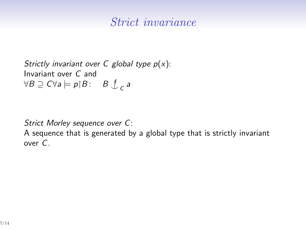#### *Strict invariance*

```
Strictly invariant over C global type p(x):
Invariant over C and
∀B ⊇ C∀a |= pB : B ^|
f
                           C
a
```
*Strict Morley sequence over C*:

A sequence that is generated by a global type that is strictly invariant over *C*.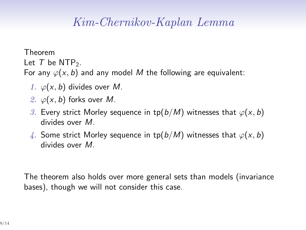## *Kim-Chernikov-Kaplan Lemma*

Theorem Let  $T$  be NTP<sub>2</sub>.

For any  $\varphi(x, b)$  and any model M the following are equivalent:

- 1.  $\varphi(x, b)$  divides over *M*.
- 2.  $\varphi(x, b)$  forks over *M*.
- *3.* Every strict Morley sequence in tp( $b/M$ ) witnesses that  $\varphi(x, b)$ divides over *M*.
- *4.* Some strict Morley sequence in tp( $b/M$ ) witnesses that  $\varphi(x, b)$ divides over *M*.

The theorem also holds over more general sets than models (invariance bases), though we will not consider this case.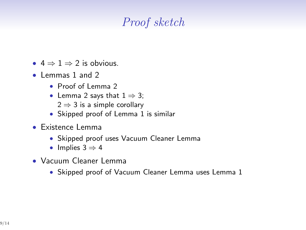# *Proof sketch*

- $4 \Rightarrow 1 \Rightarrow 2$  is obvious.
- *•* Lemmas 1 and 2
	- *•* Proof of Lemma 2
	- *•* Lemma 2 says that 1 *⇒* 3; 2 *⇒* 3 is a simple corollary
	- *•* Skipped proof of Lemma 1 is similar
- *•* Existence Lemma
	- *•* Skipped proof uses Vacuum Cleaner Lemma
	- *•* Implies 3 *⇒* 4
- *•* Vacuum Cleaner Lemma
	- *•* Skipped proof of Vacuum Cleaner Lemma uses Lemma 1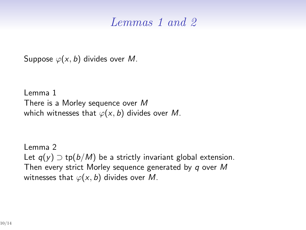#### *Lemmas 1 and 2*

Suppose  $\varphi(x, b)$  divides over *M*.

```
Lemma 1
There is a Morley sequence over M
which witnesses that \varphi(x, b) divides over M.
```
Lemma 2 Let  $q(y)$  ⊃ tp( $b/M$ ) be a strictly invariant global extension. Then every strict Morley sequence generated by *q* over *M* witnesses that  $\varphi(x, b)$  divides over *M*.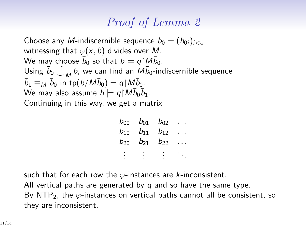## *Proof of Lemma 2*

 $\epsilon$  Choose any  $M$ -indiscernible sequence  $\bar{b}_0 = (b_{0i})_{i < \omega}$ witnessing that *ϕ*(*x, b*) divides over *M*. We may choose  $\bar{b}_0$  so that  $b \models q {\restriction} M \bar{b}_0.$  $\frac{\bar{b}_0}{\bar{b}_0}$ *M b*, we can find an  $\overline{Mb_0}$ -indiscernible sequence  $\bar{b}_1 \equiv_M \bar{b}_0$  in tp $(b/M\bar{b}_0) = q{\upharpoonright} M\bar{b}_0$ . We may also assume  $b \models q {\restriction} M \bar{b}_0 \bar{b}_1.$ Continuing in this way, we get a matrix

| $b_{00}$ | $b_{01}$ | $b_{02}$ |  |
|----------|----------|----------|--|
| $b_{10}$ | $b_{11}$ | $b_{12}$ |  |
| $b_{20}$ | $b_{21}$ | $b_{22}$ |  |
|          |          |          |  |
|          |          |          |  |

such that for each row the *ϕ*-instances are *k*-inconsistent. All vertical paths are generated by *q* and so have the same type. By NTP2, the *ϕ*-instances on vertical paths cannot all be consistent, so they are inconsistent.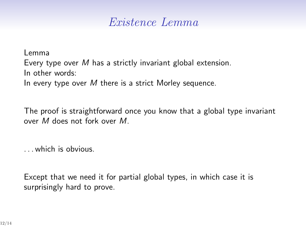#### *Existence Lemma*

Lemma Every type over *M* has a strictly invariant global extension. In other words: In every type over *M* there is a strict Morley sequence.

The proof is straightforward once you know that a global type invariant over *M* does not fork over *M*.

. . . which is obvious.

Except that we need it for partial global types, in which case it is surprisingly hard to prove.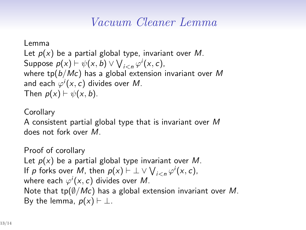## *Vacuum Cleaner Lemma*

Lemma Let *p*(*x*) be a partial global type, invariant over *M*. Suppose  $p(x) \vdash \psi(x, b) \vee \bigvee_{i < n} \varphi^{i}(x, c)$ , where tp(*b/Mc*) has a global extension invariant over *M* and each  $\varphi^{i}(x, c)$  divides over  $M$ . Then  $p(x) \vdash \psi(x, b)$ .

#### **Corollary**

A consistent partial global type that is invariant over *M* does not fork over *M*.

Proof of corollary Let *p*(*x*) be a partial global type invariant over *M*. If *p* forks over *M*, then  $p(x) \vdash \bot \vee \bigvee_{i \leq n} \varphi^{i}(x, c)$ , where each  $\varphi^i(x,c)$  divides over  $M.$ Note that tp(*∅/Mc*) has a global extension invariant over *M*. By the lemma,  $p(x) \vdash \bot$ .